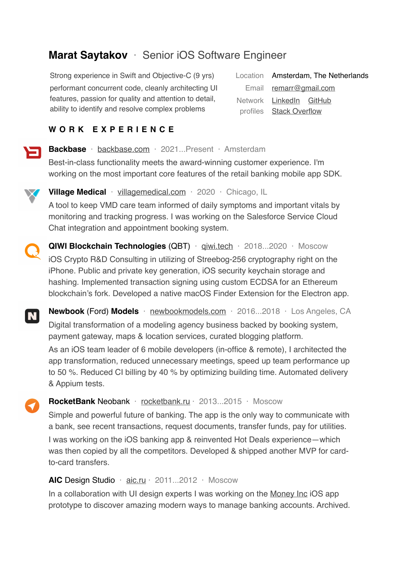# **Marat Saytakov** · Senior iOS Software Engineer

Strong experience in Swift and Objective-C (9 yrs) performant concurrent code, cleanly architecting UI features, passion for quality and attention to detail, ability to identify and resolve complex problems

**WORK EXPERIENCE**

Location Amsterdam, The Netherlands Email [remarr@gmail.com](mailto:remarr@gmail.com?subject=) Network [LinkedIn](http://linkedin.com/in/marat-saytakov) [GitHub](https://github.com/m4rr) profiles [Stack Overflow](https://stackoverflow.com/users/1204935/marat-saytakov?tab=profile)

**Backbase** · [backbase.com](https://www.backbase.com/) · 2021...Present · Amsterdam

Best-in-class functionality meets the award-winning customer experience. I'm working on the most important core features of the retail banking mobile app SDK.



**Village Medical** · **villagemedical.com** · 2020 · Chicago, IL A tool to keep VMD care team informed of daily symptoms and important vitals by monitoring and tracking progress. I was working on the Salesforce Service Cloud Chat integration and appointment booking system.



**QIWI Blockchain Technologies** (QBT) · giwi.tech · 2018...2020 · Moscow iOS Crypto R&D Consulting in utilizing of Streebog-256 cryptography right on the iPhone. Public and private key generation, iOS security keychain storage and hashing. Implemented transaction signing using custom ECDSA for an Ethereum blockchain's fork. Developed a native macOS Finder Extension for the Electron app.



**Newbook** (Ford) **Models** · [newbookmodels.com](https://newbookmodels.com) · 2016...2018 · Los Angeles, CA Digital transformation of a modeling agency business backed by booking system, payment gateway, maps & location services, curated blogging platform.

As an iOS team leader of 6 mobile developers (in-office & remote), I architected the app transformation, reduced unnecessary meetings, speed up team performance up to 50 %. Reduced CI billing by 40 % by optimizing building time. Automated delivery & Appium tests.

**RocketBank** Neobank · [rocketbank.ru](https://rocketbank.ru) · 2013...2015 · Moscow

Simple and powerful future of banking. The app is the only way to communicate with a bank, see recent transactions, request documents, transfer funds, pay for utilities.

I was working on the iOS banking app & reinvented Hot Deals experience—which was then copied by all the competitors. Developed & shipped another MVP for cardto-card transfers.

#### AIC Design Studio · [aic.ru](https://aic.ru) · 2011...2012 · Moscow

In a collaboration with UI design experts I was working on the [Money Inc](https://www.behance.net/gallery/37249837/Money-inc-Simple-and-pure-banking-app) iOS app prototype to discover amazing modern ways to manage banking accounts. Archived.